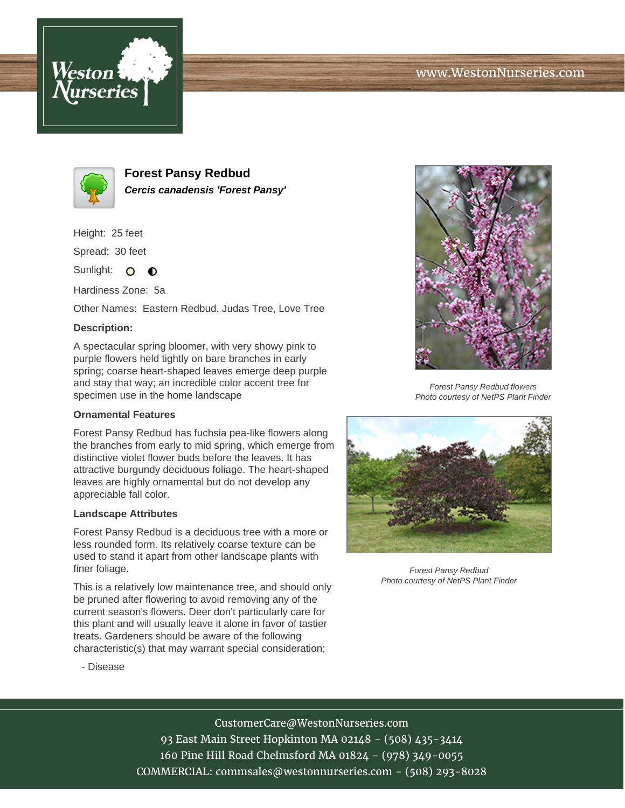



**Forest Pansy Redbud Cercis canadensis 'Forest Pansy'**

Height: 25 feet

Spread: 30 feet

Sunlight: O **O** 

Hardiness Zone: 5a

Other Names: Eastern Redbud, Judas Tree, Love Tree

# **Description:**

A spectacular spring bloomer, with very showy pink to purple flowers held tightly on bare branches in early spring; coarse heart-shaped leaves emerge deep purple and stay that way; an incredible color accent tree for specimen use in the home landscape

### **Ornamental Features**

Forest Pansy Redbud has fuchsia pea-like flowers along the branches from early to mid spring, which emerge from distinctive violet flower buds before the leaves. It has attractive burgundy deciduous foliage. The heart-shaped leaves are highly ornamental but do not develop any appreciable fall color.

#### **Landscape Attributes**

Forest Pansy Redbud is a deciduous tree with a more or less rounded form. Its relatively coarse texture can be used to stand it apart from other landscape plants with finer foliage.

This is a relatively low maintenance tree, and should only be pruned after flowering to avoid removing any of the current season's flowers. Deer don't particularly care for this plant and will usually leave it alone in favor of tastier treats. Gardeners should be aware of the following characteristic(s) that may warrant special consideration;



Forest Pansy Redbud flowers Photo courtesy of NetPS Plant Finder



Forest Pansy Redbud Photo courtesy of NetPS Plant Finder

- Disease

# CustomerCare@WestonNurseries.com

93 East Main Street Hopkinton MA 02148 - (508) 435-3414 160 Pine Hill Road Chelmsford MA 01824 - (978) 349-0055 COMMERCIAL: commsales@westonnurseries.com - (508) 293-8028